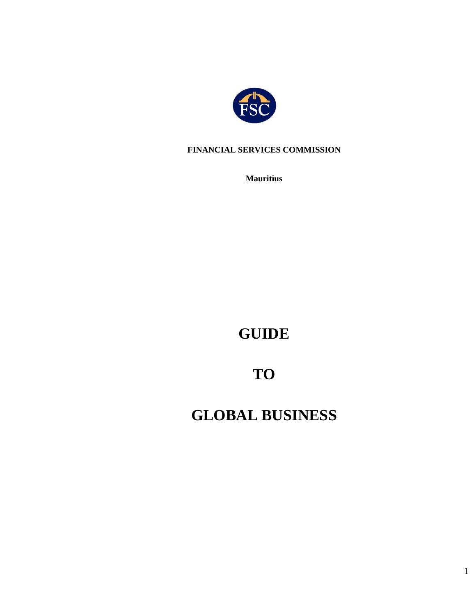

#### **FINANCIAL SERVICES COMMISSION**

**Mauritius**

**GUIDE**

# **TO**

# **GLOBAL BUSINESS**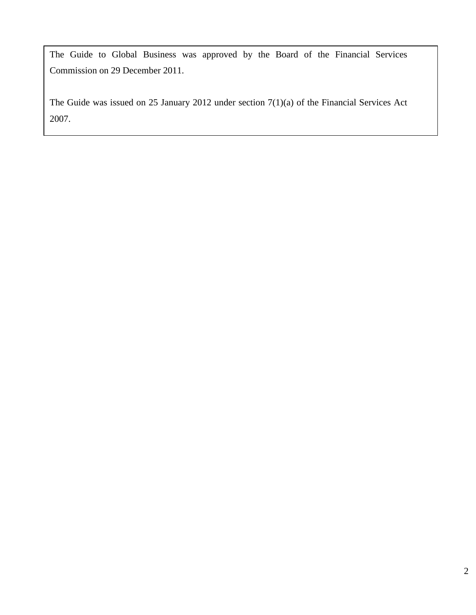The Guide to Global Business was approved by the Board of the Financial Services Commission on 29 December 2011.

The Guide was issued on 25 January 2012 under section 7(1)(a) of the Financial Services Act 2007.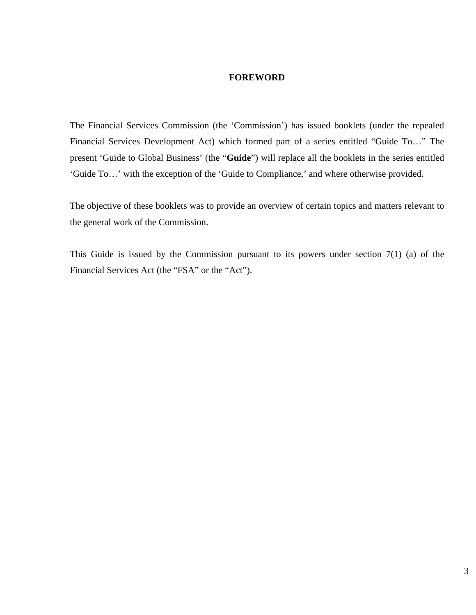#### **FOREWORD**

The Financial Services Commission (the 'Commission') has issued booklets (under the repealed Financial Services Development Act) which formed part of a series entitled "Guide To…" The present 'Guide to Global Business' (the "**Guide**") will replace all the booklets in the series entitled 'Guide To…' with the exception of the 'Guide to Compliance,' and where otherwise provided.

The objective of these booklets was to provide an overview of certain topics and matters relevant to the general work of the Commission.

This Guide is issued by the Commission pursuant to its powers under section  $7(1)$  (a) of the Financial Services Act (the "FSA" or the "Act").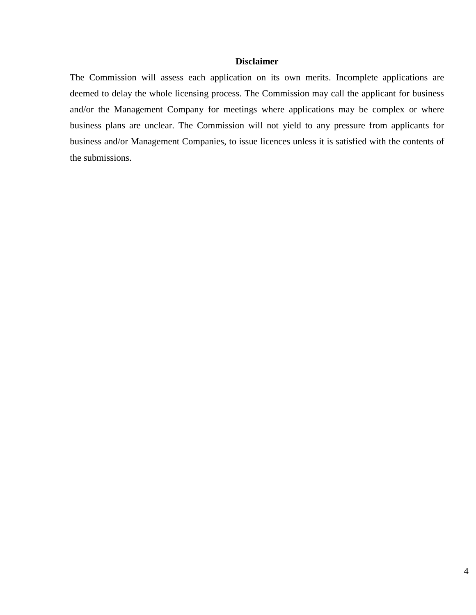#### **Disclaimer**

The Commission will assess each application on its own merits. Incomplete applications are deemed to delay the whole licensing process. The Commission may call the applicant for business and/or the Management Company for meetings where applications may be complex or where business plans are unclear. The Commission will not yield to any pressure from applicants for business and/or Management Companies, to issue licences unless it is satisfied with the contents of the submissions.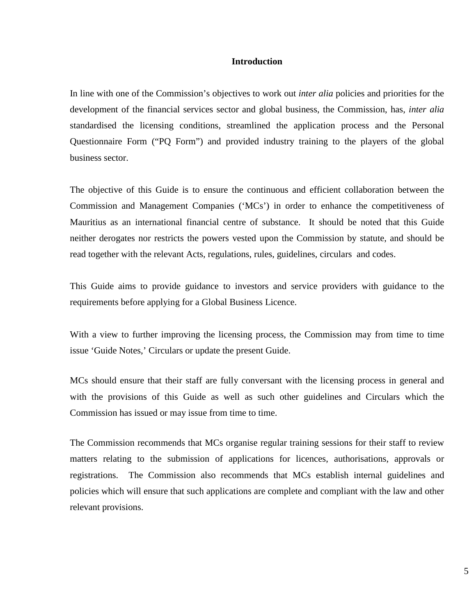#### **Introduction**

In line with one of the Commission's objectives to work out *inter alia* policies and priorities for the development of the financial services sector and global business, the Commission, has, *inter alia* standardised the licensing conditions, streamlined the application process and the Personal Questionnaire Form ("PQ Form") and provided industry training to the players of the global business sector.

The objective of this Guide is to ensure the continuous and efficient collaboration between the Commission and Management Companies ('MCs') in order to enhance the competitiveness of Mauritius as an international financial centre of substance. It should be noted that this Guide neither derogates nor restricts the powers vested upon the Commission by statute, and should be read together with the relevant Acts, regulations, rules, guidelines, circulars and codes.

This Guide aims to provide guidance to investors and service providers with guidance to the requirements before applying for a Global Business Licence.

With a view to further improving the licensing process, the Commission may from time to time issue 'Guide Notes,' Circulars or update the present Guide.

MCs should ensure that their staff are fully conversant with the licensing process in general and with the provisions of this Guide as well as such other guidelines and Circulars which the Commission has issued or may issue from time to time.

The Commission recommends that MCs organise regular training sessions for their staff to review matters relating to the submission of applications for licences, authorisations, approvals or registrations. The Commission also recommends that MCs establish internal guidelines and policies which will ensure that such applications are complete and compliant with the law and other relevant provisions.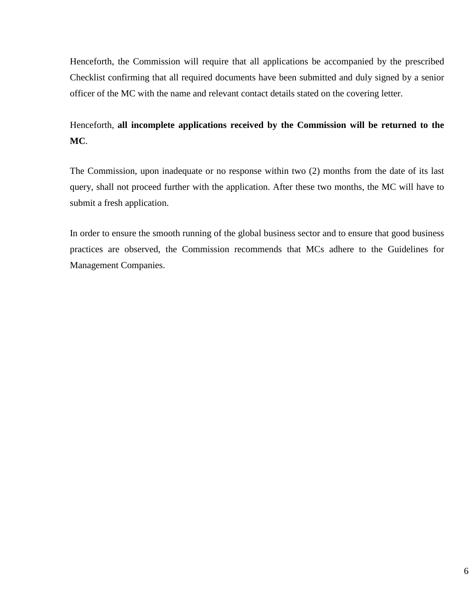Henceforth, the Commission will require that all applications be accompanied by the prescribed Checklist confirming that all required documents have been submitted and duly signed by a senior officer of the MC with the name and relevant contact details stated on the covering letter.

## Henceforth, **all incomplete applications received by the Commission will be returned to the MC**.

The Commission, upon inadequate or no response within two (2) months from the date of its last query, shall not proceed further with the application. After these two months, the MC will have to submit a fresh application.

In order to ensure the smooth running of the global business sector and to ensure that good business practices are observed, the Commission recommends that MCs adhere to the Guidelines for Management Companies.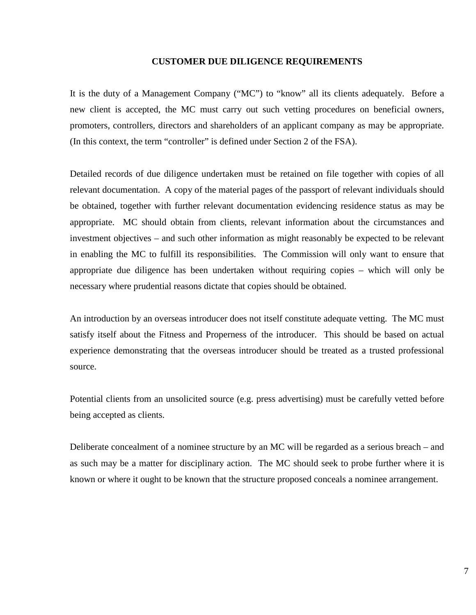#### **CUSTOMER DUE DILIGENCE REQUIREMENTS**

It is the duty of a Management Company ("MC") to "know" all its clients adequately. Before a new client is accepted, the MC must carry out such vetting procedures on beneficial owners, promoters, controllers, directors and shareholders of an applicant company as may be appropriate. (In this context, the term "controller" is defined under Section 2 of the FSA).

Detailed records of due diligence undertaken must be retained on file together with copies of all relevant documentation. A copy of the material pages of the passport of relevant individuals should be obtained, together with further relevant documentation evidencing residence status as may be appropriate. MC should obtain from clients, relevant information about the circumstances and investment objectives – and such other information as might reasonably be expected to be relevant in enabling the MC to fulfill its responsibilities. The Commission will only want to ensure that appropriate due diligence has been undertaken without requiring copies – which will only be necessary where prudential reasons dictate that copies should be obtained.

An introduction by an overseas introducer does not itself constitute adequate vetting. The MC must satisfy itself about the Fitness and Properness of the introducer. This should be based on actual experience demonstrating that the overseas introducer should be treated as a trusted professional source.

Potential clients from an unsolicited source (e.g. press advertising) must be carefully vetted before being accepted as clients.

Deliberate concealment of a nominee structure by an MC will be regarded as a serious breach – and as such may be a matter for disciplinary action. The MC should seek to probe further where it is known or where it ought to be known that the structure proposed conceals a nominee arrangement.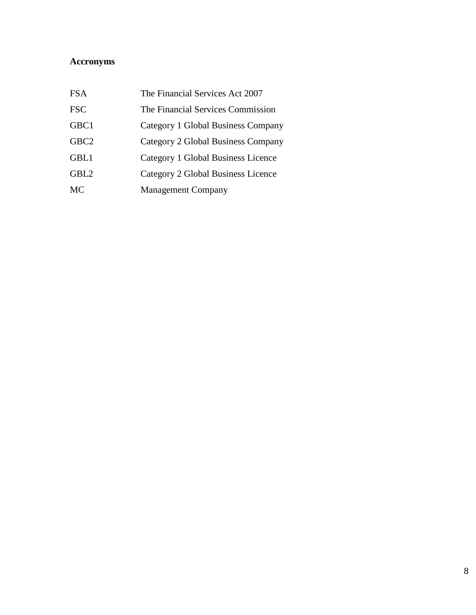## **Accronyms**

| <b>FSA</b>       | The Financial Services Act 2007    |
|------------------|------------------------------------|
| <b>FSC</b>       | The Financial Services Commission  |
| GBC1             | Category 1 Global Business Company |
| GBC <sub>2</sub> | Category 2 Global Business Company |
| GBL1             | Category 1 Global Business Licence |
| GBL <sub>2</sub> | Category 2 Global Business Licence |
| <b>MC</b>        | <b>Management Company</b>          |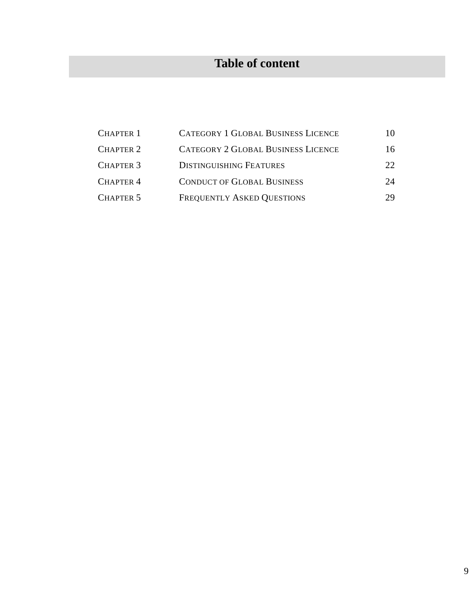## **Table of content**

| <b>CHAPTER 1</b> | <b>CATEGORY 1 GLOBAL BUSINESS LICENCE</b> | 10              |
|------------------|-------------------------------------------|-----------------|
| <b>CHAPTER 2</b> | <b>CATEGORY 2 GLOBAL BUSINESS LICENCE</b> | 16              |
| <b>CHAPTER 3</b> | <b>DISTINGUISHING FEATURES</b>            | 22 <sub>1</sub> |
| <b>CHAPTER 4</b> | <b>CONDUCT OF GLOBAL BUSINESS</b>         | 24              |
| CHAPTER 5        | <b>FREQUENTLY ASKED QUESTIONS</b>         | 29              |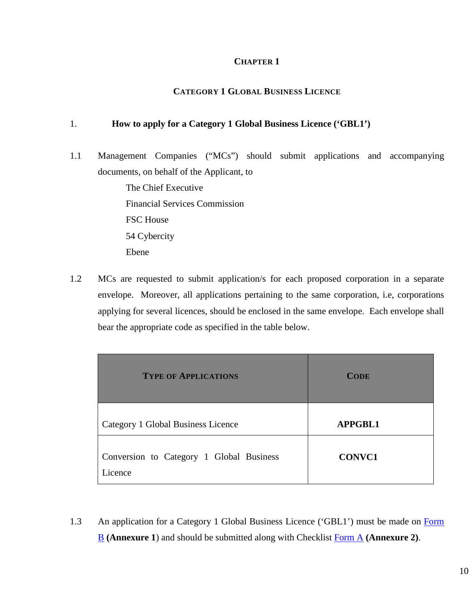#### **CHAPTER 1**

#### **CATEGORY 1 GLOBAL BUSINESS LICENCE**

#### 1. **How to apply for a Category 1 Global Business Licence ('GBL1')**

1.1 Management Companies ("MCs") should submit applications and accompanying documents, on behalf of the Applicant, to

> The Chief Executive Financial Services Commission FSC House 54 Cybercity Ebene

1.2 MCs are requested to submit application/s for each proposed corporation in a separate envelope. Moreover, all applications pertaining to the same corporation, i.e, corporations applying for several licences, should be enclosed in the same envelope. Each envelope shall bear the appropriate code as specified in the table below.

| <b>TYPE OF APPLICATIONS</b>                         | <b>CODE</b>    |
|-----------------------------------------------------|----------------|
| Category 1 Global Business Licence                  | <b>APPGBL1</b> |
| Conversion to Category 1 Global Business<br>Licence | <b>CONVC1</b>  |

1.3 An application for a Category 1 Global Business Licence ('GBL1') must be made on Form [B](http://fscmauritius.org/media/65720/annexure_1_form_b.pdf) **(Annexure 1**) and should be submitted along with Checklist [Form A](https://www.fscmauritius.org/media/4046/fs-41_form_a.pdf) **(Annexure 2)**.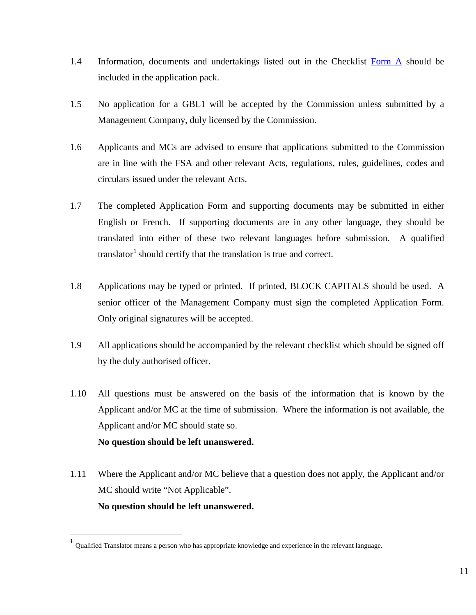- 1.4 Information, documents and undertakings listed out in the Checklist [Form A](https://www.fscmauritius.org/media/4046/fs-41_form_a.pdf) should be included in the application pack.
- 1.5 No application for a GBL1 will be accepted by the Commission unless submitted by a Management Company, duly licensed by the Commission.
- 1.6 Applicants and MCs are advised to ensure that applications submitted to the Commission are in line with the FSA and other relevant Acts, regulations, rules, guidelines, codes and circulars issued under the relevant Acts.
- 1.7 The completed Application Form and supporting documents may be submitted in either English or French. If supporting documents are in any other language, they should be translated into either of these two relevant languages before submission. A qualified translator<sup>[1](#page-10-0)</sup> should certify that the translation is true and correct.
- 1.8 Applications may be typed or printed. If printed, BLOCK CAPITALS should be used. A senior officer of the Management Company must sign the completed Application Form. Only original signatures will be accepted.
- 1.9 All applications should be accompanied by the relevant checklist which should be signed off by the duly authorised officer.
- 1.10 All questions must be answered on the basis of the information that is known by the Applicant and/or MC at the time of submission. Where the information is not available, the Applicant and/or MC should state so. **No question should be left unanswered.**
- 1.11 Where the Applicant and/or MC believe that a question does not apply, the Applicant and/or MC should write "Not Applicable". **No question should be left unanswered.**

<span id="page-10-0"></span> $1$  Qualified Translator means a person who has appropriate knowledge and experience in the relevant language.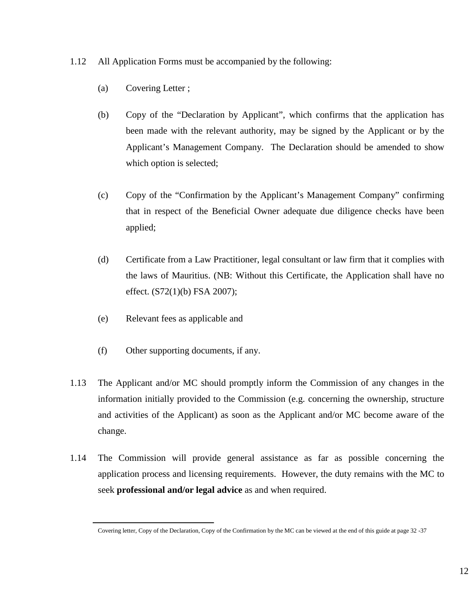- 1.12 All Application Forms must be accompanied by the following:
	- (a) Covering Letter ;
	- (b) Copy of the "Declaration by Applicant", which confirms that the application has been made with the relevant authority, may be signed by the Applicant or by the Applicant's Management Company. The Declaration should be amended to show which option is selected;
	- (c) Copy of the "Confirmation by the Applicant's Management Company" confirming that in respect of the Beneficial Owner adequate due diligence checks have been applied;
	- (d) Certificate from a Law Practitioner, legal consultant or law firm that it complies with the laws of Mauritius. (NB: Without this Certificate, the Application shall have no effect. (S72(1)(b) FSA 2007);
	- (e) Relevant fees as applicable and
	- (f) Other supporting documents, if any.
- 1.13 The Applicant and/or MC should promptly inform the Commission of any changes in the information initially provided to the Commission (e.g. concerning the ownership, structure and activities of the Applicant) as soon as the Applicant and/or MC become aware of the change.
- 1.14 The Commission will provide general assistance as far as possible concerning the application process and licensing requirements. However, the duty remains with the MC to seek **professional and/or legal advice** as and when required.

Covering letter, Copy of the Declaration, Copy of the Confirmation by the MC can be viewed at the end of this guide at page 32 -37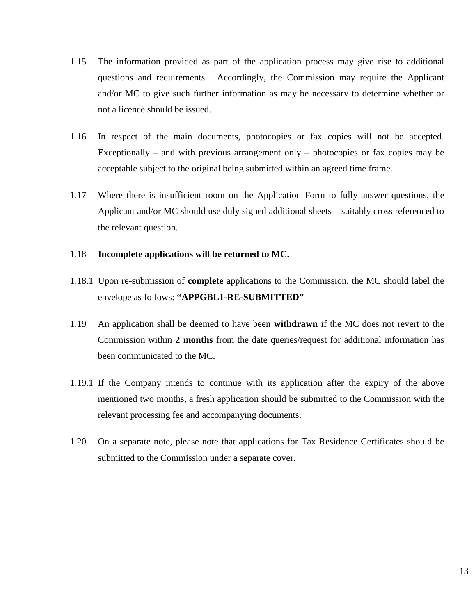- 1.15 The information provided as part of the application process may give rise to additional questions and requirements. Accordingly, the Commission may require the Applicant and/or MC to give such further information as may be necessary to determine whether or not a licence should be issued.
- 1.16 In respect of the main documents, photocopies or fax copies will not be accepted. Exceptionally – and with previous arrangement only – photocopies or fax copies may be acceptable subject to the original being submitted within an agreed time frame.
- 1.17 Where there is insufficient room on the Application Form to fully answer questions, the Applicant and/or MC should use duly signed additional sheets – suitably cross referenced to the relevant question.

#### 1.18 **Incomplete applications will be returned to MC.**

- 1.18.1 Upon re-submission of **complete** applications to the Commission, the MC should label the envelope as follows: **"APPGBL1-RE-SUBMITTED"**
- 1.19 An application shall be deemed to have been **withdrawn** if the MC does not revert to the Commission within **2 months** from the date queries/request for additional information has been communicated to the MC.
- 1.19.1 If the Company intends to continue with its application after the expiry of the above mentioned two months, a fresh application should be submitted to the Commission with the relevant processing fee and accompanying documents.
- 1.20 On a separate note, please note that applications for Tax Residence Certificates should be submitted to the Commission under a separate cover.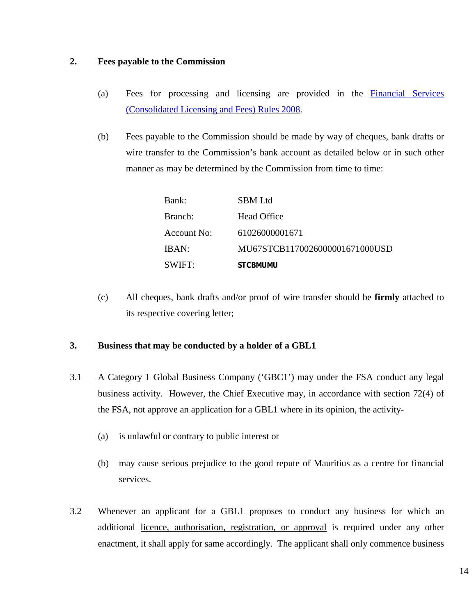#### **2. Fees payable to the Commission**

- (a) Fees for processing and licensing are provided in the [Financial Services](http://www.fscmauritius.org/media/36785/1.2.2%20financial%20services%20(consolidated%20licensing%20and%20fees)%20rules%202008.pdf)  [\(Consolidated Licensing](https://www.fscmauritius.org/media/4009/financial-services-consolidated-licensing-and-fees-rules-2008v1.pdf) and Fees) Rules 2008.
- (b) Fees payable to the Commission should be made by way of cheques, bank drafts or wire transfer to the Commission's bank account as detailed below or in such other manner as may be determined by the Commission from time to time:

| Bank:              | <b>SBM</b> Ltd                 |
|--------------------|--------------------------------|
| Branch:            | <b>Head Office</b>             |
| <b>Account No:</b> | 61026000001671                 |
| IBAN:              | MU67STCB1170026000001671000USD |
| SWIFT:             | <b>STCBMUMU</b>                |

(c) All cheques, bank drafts and/or proof of wire transfer should be **firmly** attached to its respective covering letter;

#### **3. Business that may be conducted by a holder of a GBL1**

- 3.1 A Category 1 Global Business Company ('GBC1') may under the FSA conduct any legal business activity. However, the Chief Executive may, in accordance with section 72(4) of the FSA, not approve an application for a GBL1 where in its opinion, the activity-
	- (a) is unlawful or contrary to public interest or
	- (b) may cause serious prejudice to the good repute of Mauritius as a centre for financial services.
- 3.2 Whenever an applicant for a GBL1 proposes to conduct any business for which an additional licence, authorisation, registration, or approval is required under any other enactment, it shall apply for same accordingly. The applicant shall only commence business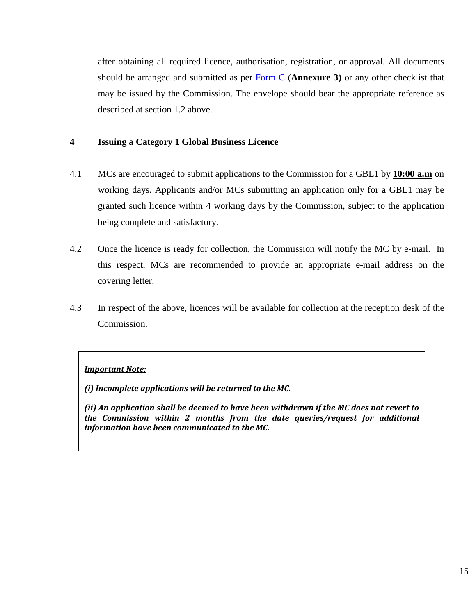after obtaining all required licence, authorisation, registration, or approval. All documents should be arranged and submitted as per [Form C](https://www.fscmauritius.org/media/4048/fs-41_form_c.pdf) (**Annexure 3)** or any other checklist that may be issued by the Commission. The envelope should bear the appropriate reference as described at section 1.2 above.

#### **4 Issuing a Category 1 Global Business Licence**

- 4.1 MCs are encouraged to submit applications to the Commission for a GBL1 by **10:00 a.m** on working days. Applicants and/or MCs submitting an application only for a GBL1 may be granted such licence within 4 working days by the Commission, subject to the application being complete and satisfactory.
- 4.2 Once the licence is ready for collection, the Commission will notify the MC by e-mail. In this respect, MCs are recommended to provide an appropriate e-mail address on the covering letter.
- 4.3 In respect of the above, licences will be available for collection at the reception desk of the Commission.

#### *Important Note:*

*(i) Incomplete applications will be returned to the MC.* 

*(ii) An application shall be deemed to have been withdrawn if the MC does not revert to the Commission within 2 months from the date queries/request for additional information have been communicated to the MC.*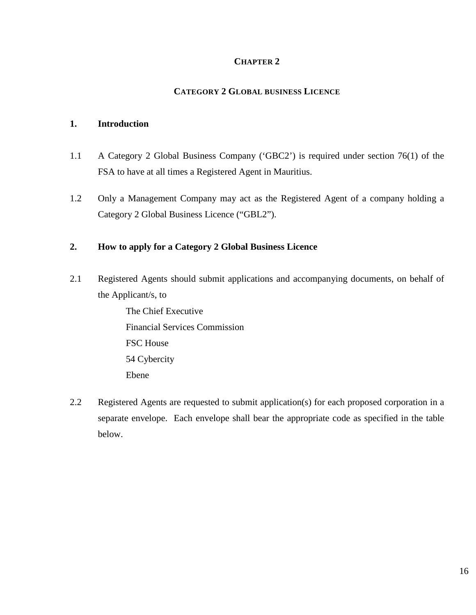#### **CHAPTER 2**

#### **CATEGORY 2 GLOBAL BUSINESS LICENCE**

#### **1. Introduction**

- 1.1 A Category 2 Global Business Company ('GBC2') is required under section 76(1) of the FSA to have at all times a Registered Agent in Mauritius.
- 1.2 Only a Management Company may act as the Registered Agent of a company holding a Category 2 Global Business Licence ("GBL2").

#### **2. How to apply for a Category 2 Global Business Licence**

2.1 Registered Agents should submit applications and accompanying documents, on behalf of the Applicant/s, to

> The Chief Executive Financial Services Commission FSC House 54 Cybercity Ebene

2.2 Registered Agents are requested to submit application(s) for each proposed corporation in a separate envelope. Each envelope shall bear the appropriate code as specified in the table below.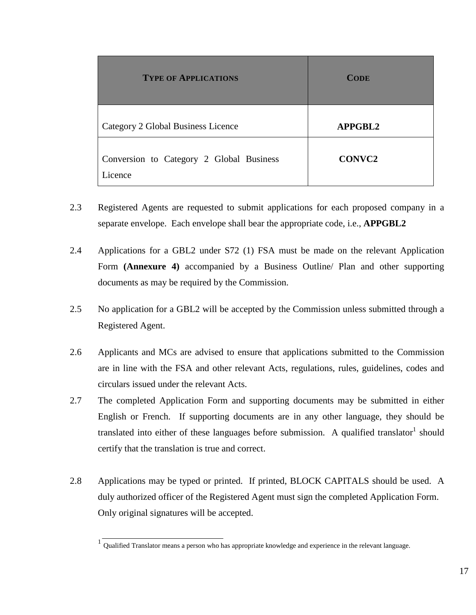| <b>TYPE OF APPLICATIONS</b>                         | <b>CODE</b>   |
|-----------------------------------------------------|---------------|
| Category 2 Global Business Licence                  | APPGBL2       |
| Conversion to Category 2 Global Business<br>Licence | <b>CONVC2</b> |

- 2.3 Registered Agents are requested to submit applications for each proposed company in a separate envelope. Each envelope shall bear the appropriate code, i.e., **APPGBL2**
- 2.4 Applications for a GBL2 under S72 (1) FSA must be made on the relevant Application Form **(Annexure 4)** accompanied by a Business Outline/ Plan and other supporting documents as may be required by the Commission.
- 2.5 No application for a GBL2 will be accepted by the Commission unless submitted through a Registered Agent.
- 2.6 Applicants and MCs are advised to ensure that applications submitted to the Commission are in line with the FSA and other relevant Acts, regulations, rules, guidelines, codes and circulars issued under the relevant Acts.
- 2.7 The completed Application Form and supporting documents may be submitted in either English or French. If supporting documents are in any other language, they should be translated into either of these languages before submission. A qualified translator should certify that the translation is true and correct.
- 2.8 Applications may be typed or printed. If printed, BLOCK CAPITALS should be used. A duly authorized officer of the Registered Agent must sign the completed Application Form. Only original signatures will be accepted.

<sup>&</sup>lt;sup>1</sup> Oualified Translator means a person who has appropriate knowledge and experience in the relevant language.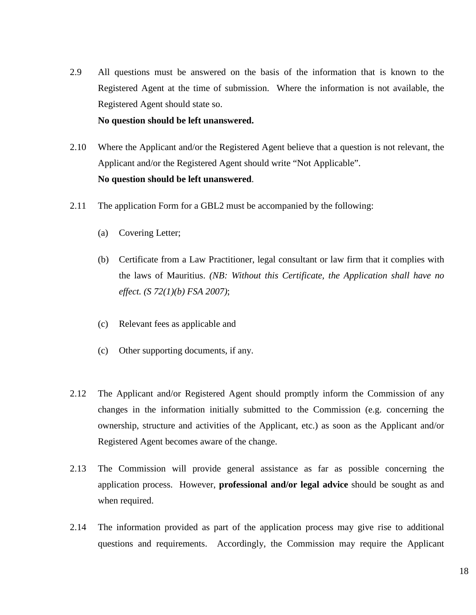2.9 All questions must be answered on the basis of the information that is known to the Registered Agent at the time of submission. Where the information is not available, the Registered Agent should state so.

#### **No question should be left unanswered.**

- 2.10 Where the Applicant and/or the Registered Agent believe that a question is not relevant, the Applicant and/or the Registered Agent should write "Not Applicable". **No question should be left unanswered**.
- 2.11 The application Form for a GBL2 must be accompanied by the following:
	- (a) Covering Letter;
	- (b) Certificate from a Law Practitioner, legal consultant or law firm that it complies with the laws of Mauritius. *(NB: Without this Certificate, the Application shall have no effect. (S 72(1)(b) FSA 2007)*;
	- (c) Relevant fees as applicable and
	- (c) Other supporting documents, if any.
- 2.12 The Applicant and/or Registered Agent should promptly inform the Commission of any changes in the information initially submitted to the Commission (e.g. concerning the ownership, structure and activities of the Applicant, etc.) as soon as the Applicant and/or Registered Agent becomes aware of the change.
- 2.13 The Commission will provide general assistance as far as possible concerning the application process. However, **professional and/or legal advice** should be sought as and when required.
- 2.14 The information provided as part of the application process may give rise to additional questions and requirements. Accordingly, the Commission may require the Applicant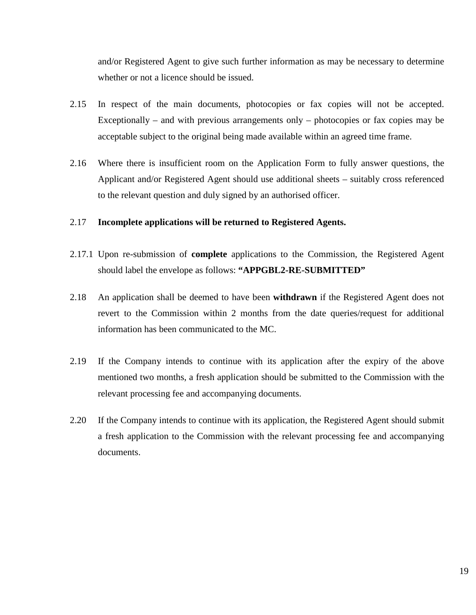and/or Registered Agent to give such further information as may be necessary to determine whether or not a licence should be issued.

- 2.15 In respect of the main documents, photocopies or fax copies will not be accepted. Exceptionally – and with previous arrangements only – photocopies or fax copies may be acceptable subject to the original being made available within an agreed time frame.
- 2.16 Where there is insufficient room on the Application Form to fully answer questions, the Applicant and/or Registered Agent should use additional sheets – suitably cross referenced to the relevant question and duly signed by an authorised officer.

#### 2.17 **Incomplete applications will be returned to Registered Agents.**

- 2.17.1 Upon re-submission of **complete** applications to the Commission, the Registered Agent should label the envelope as follows: **"APPGBL2-RE-SUBMITTED"**
- 2.18 An application shall be deemed to have been **withdrawn** if the Registered Agent does not revert to the Commission within 2 months from the date queries/request for additional information has been communicated to the MC.
- 2.19 If the Company intends to continue with its application after the expiry of the above mentioned two months, a fresh application should be submitted to the Commission with the relevant processing fee and accompanying documents.
- 2.20 If the Company intends to continue with its application, the Registered Agent should submit a fresh application to the Commission with the relevant processing fee and accompanying documents.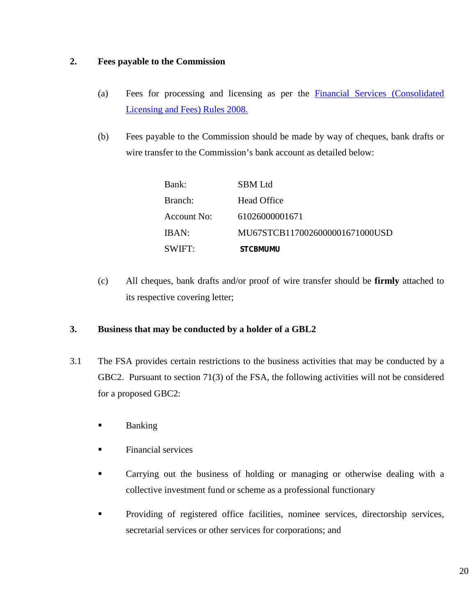#### **2. Fees payable to the Commission**

- (a) Fees for processing and licensing as per the [Financial Services \(Consolidated](http://www.fscmauritius.org/media/36785/1.2.2%20financial%20services%20(consolidated%20licensing%20and%20fees)%20rules%202008.pdf)  [Licensing and Fees\) Rules 2008.](http://www.fscmauritius.org/media/36785/1.2.2%20financial%20services%20(consolidated%20licensing%20and%20fees)%20rules%202008.pdf)
- (b) Fees payable to the Commission should be made by way of cheques, bank drafts or wire transfer to the Commission's bank account as detailed below:

| Bank:       | <b>SBM</b> Ltd                 |
|-------------|--------------------------------|
| Branch:     | Head Office                    |
| Account No: | 61026000001671                 |
| IBAN:       | MU67STCB1170026000001671000USD |
| SWIFT:      | <b>STCBMUMU</b>                |

(c) All cheques, bank drafts and/or proof of wire transfer should be **firmly** attached to its respective covering letter;

#### **3. Business that may be conducted by a holder of a GBL2**

- 3.1 The FSA provides certain restrictions to the business activities that may be conducted by a GBC2. Pursuant to section 71(3) of the FSA, the following activities will not be considered for a proposed GBC2:
	- **Banking**
	- Financial services
	- Carrying out the business of holding or managing or otherwise dealing with a collective investment fund or scheme as a professional functionary
	- Providing of registered office facilities, nominee services, directorship services, secretarial services or other services for corporations; and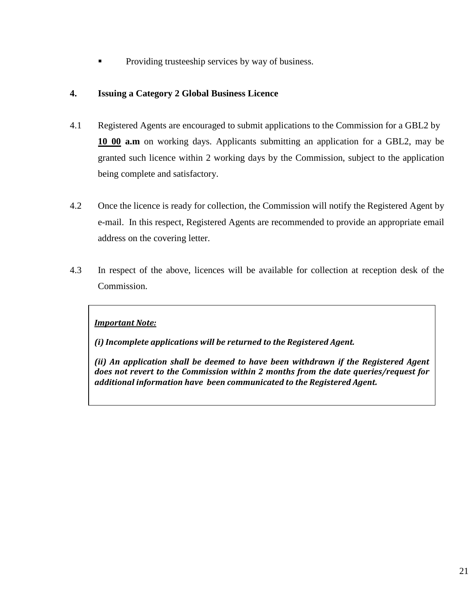Providing trusteeship services by way of business.

#### **4. Issuing a Category 2 Global Business Licence**

- 4.1 Registered Agents are encouraged to submit applications to the Commission for a GBL2 by **10 00 a.m** on working days. Applicants submitting an application for a GBL2, may be granted such licence within 2 working days by the Commission, subject to the application being complete and satisfactory.
- 4.2 Once the licence is ready for collection, the Commission will notify the Registered Agent by e-mail. In this respect, Registered Agents are recommended to provide an appropriate email address on the covering letter.
- 4.3 In respect of the above, licences will be available for collection at reception desk of the Commission.

#### *Important Note:*

*(i) Incomplete applications will be returned to the Registered Agent.* 

*(ii) An application shall be deemed to have been withdrawn if the Registered Agent does not revert to the Commission within 2 months from the date queries/request for additional information have been communicated to the Registered Agent.*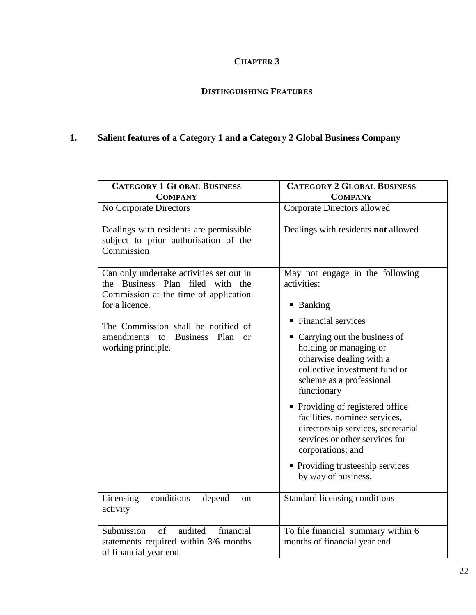## **CHAPTER 3**

### **DISTINGUISHING FEATURES**

## **1. Salient features of a Category 1 and a Category 2 Global Business Company**

| <b>CATEGORY 1 GLOBAL BUSINESS</b>                                                                                           | <b>CATEGORY 2 GLOBAL BUSINESS</b>                                                                                                                                |
|-----------------------------------------------------------------------------------------------------------------------------|------------------------------------------------------------------------------------------------------------------------------------------------------------------|
| <b>COMPANY</b>                                                                                                              | <b>COMPANY</b>                                                                                                                                                   |
| No Corporate Directors                                                                                                      | Corporate Directors allowed                                                                                                                                      |
| Dealings with residents are permissible<br>subject to prior authorisation of the<br>Commission                              | Dealings with residents not allowed                                                                                                                              |
| Can only undertake activities set out in<br>Business Plan filed with<br>the<br>the<br>Commission at the time of application | May not engage in the following<br>activities:                                                                                                                   |
| for a licence.                                                                                                              | ■ Banking                                                                                                                                                        |
| The Commission shall be notified of                                                                                         | <b>Financial services</b><br>п,                                                                                                                                  |
| amendments<br><b>Business</b><br>Plan<br>to<br><sub>or</sub><br>working principle.                                          | • Carrying out the business of<br>holding or managing or<br>otherwise dealing with a<br>collective investment fund or<br>scheme as a professional<br>functionary |
|                                                                                                                             | • Providing of registered office<br>facilities, nominee services,<br>directorship services, secretarial<br>services or other services for<br>corporations; and   |
|                                                                                                                             | • Providing trusteeship services<br>by way of business.                                                                                                          |
| conditions<br>Licensing<br>depend<br>on<br>activity                                                                         | Standard licensing conditions                                                                                                                                    |
| Submission<br>audited<br>financial<br>of<br>statements required within 3/6 months<br>of financial year end                  | To file financial summary within 6<br>months of financial year end                                                                                               |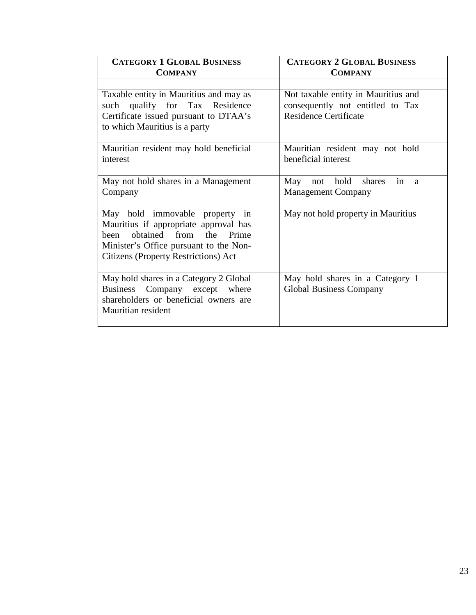| <b>CATEGORY 1 GLOBAL BUSINESS</b><br><b>COMPANY</b>                                                                                                                                                       | <b>CATEGORY 2 GLOBAL BUSINESS</b><br><b>COMPANY</b>                                                     |
|-----------------------------------------------------------------------------------------------------------------------------------------------------------------------------------------------------------|---------------------------------------------------------------------------------------------------------|
|                                                                                                                                                                                                           |                                                                                                         |
| Taxable entity in Mauritius and may as<br>such qualify for Tax Residence<br>Certificate issued pursuant to DTAA's<br>to which Mauritius is a party                                                        | Not taxable entity in Mauritius and<br>consequently not entitled to Tax<br><b>Residence Certificate</b> |
| Mauritian resident may hold beneficial<br>interest                                                                                                                                                        | Mauritian resident may not hold<br>beneficial interest                                                  |
| May not hold shares in a Management<br>Company                                                                                                                                                            | not hold<br>May<br>shares<br>in<br>a<br><b>Management Company</b>                                       |
| May hold immovable property in<br>Mauritius if appropriate approval has<br>the<br>obtained from<br>Prime<br>heen<br>Minister's Office pursuant to the Non-<br><b>Citizens (Property Restrictions) Act</b> | May not hold property in Mauritius                                                                      |
| May hold shares in a Category 2 Global<br>Business Company except where<br>shareholders or beneficial owners are<br>Mauritian resident                                                                    | May hold shares in a Category 1<br><b>Global Business Company</b>                                       |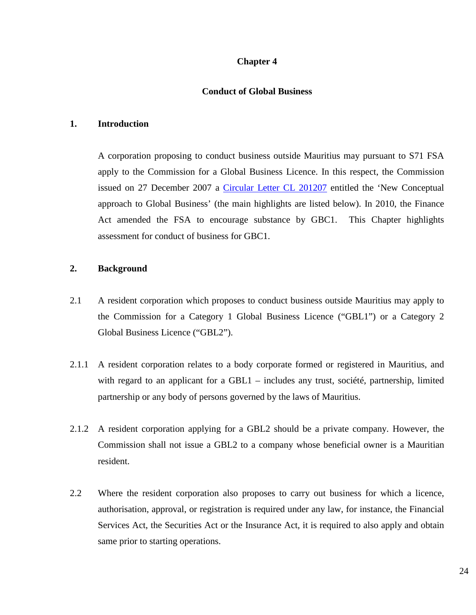#### **Chapter 4**

#### **Conduct of Global Business**

#### **1. Introduction**

A corporation proposing to conduct business outside Mauritius may pursuant to S71 FSA apply to the Commission for a Global Business Licence. In this respect, the Commission issued on 27 December 2007 a [Circular Letter CL 201207](https://www.fscmauritius.org/media/3149/cl201207.pdf) entitled the 'New Conceptual approach to Global Business' (the main highlights are listed below). In 2010, the Finance Act amended the FSA to encourage substance by GBC1. This Chapter highlights assessment for conduct of business for GBC1.

#### **2. Background**

- 2.1 A resident corporation which proposes to conduct business outside Mauritius may apply to the Commission for a Category 1 Global Business Licence ("GBL1") or a Category 2 Global Business Licence ("GBL2").
- 2.1.1 A resident corporation relates to a body corporate formed or registered in Mauritius, and with regard to an applicant for a GBL1 – includes any trust, société, partnership, limited partnership or any body of persons governed by the laws of Mauritius.
- 2.1.2 A resident corporation applying for a GBL2 should be a private company. However, the Commission shall not issue a GBL2 to a company whose beneficial owner is a Mauritian resident.
- 2.2 Where the resident corporation also proposes to carry out business for which a licence, authorisation, approval, or registration is required under any law, for instance, the Financial Services Act, the Securities Act or the Insurance Act, it is required to also apply and obtain same prior to starting operations.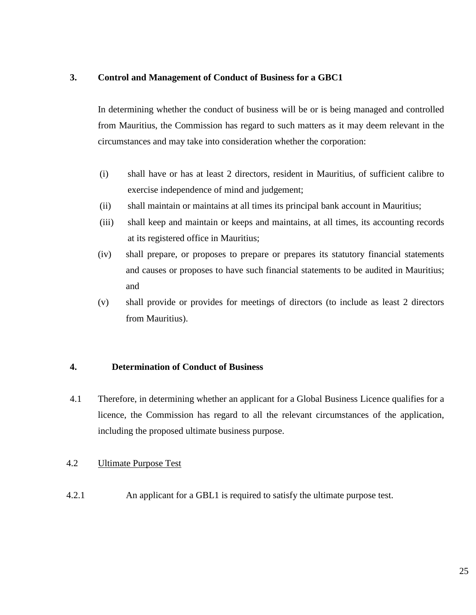#### **3. Control and Management of Conduct of Business for a GBC1**

In determining whether the conduct of business will be or is being managed and controlled from Mauritius, the Commission has regard to such matters as it may deem relevant in the circumstances and may take into consideration whether the corporation:

- (i) shall have or has at least 2 directors, resident in Mauritius, of sufficient calibre to exercise independence of mind and judgement;
- (ii) shall maintain or maintains at all times its principal bank account in Mauritius;
- (iii) shall keep and maintain or keeps and maintains, at all times, its accounting records at its registered office in Mauritius;
- (iv) shall prepare, or proposes to prepare or prepares its statutory financial statements and causes or proposes to have such financial statements to be audited in Mauritius; and
- (v) shall provide or provides for meetings of directors (to include as least 2 directors from Mauritius).

#### **4. Determination of Conduct of Business**

4.1 Therefore, in determining whether an applicant for a Global Business Licence qualifies for a licence, the Commission has regard to all the relevant circumstances of the application, including the proposed ultimate business purpose.

#### 4.2 Ultimate Purpose Test

4.2.1 An applicant for a GBL1 is required to satisfy the ultimate purpose test.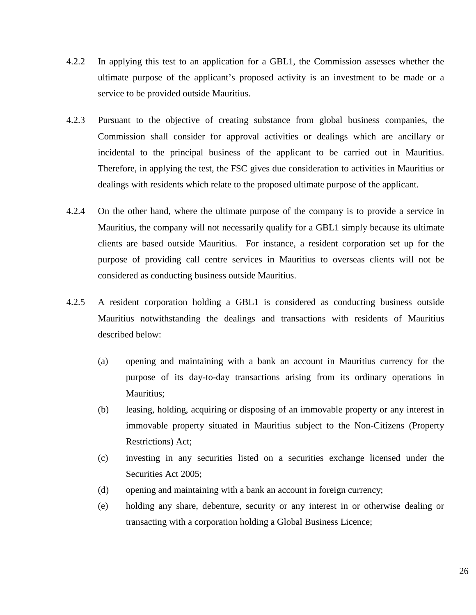- 4.2.2 In applying this test to an application for a GBL1, the Commission assesses whether the ultimate purpose of the applicant's proposed activity is an investment to be made or a service to be provided outside Mauritius.
- 4.2.3 Pursuant to the objective of creating substance from global business companies, the Commission shall consider for approval activities or dealings which are ancillary or incidental to the principal business of the applicant to be carried out in Mauritius. Therefore, in applying the test, the FSC gives due consideration to activities in Mauritius or dealings with residents which relate to the proposed ultimate purpose of the applicant.
- 4.2.4 On the other hand, where the ultimate purpose of the company is to provide a service in Mauritius, the company will not necessarily qualify for a GBL1 simply because its ultimate clients are based outside Mauritius. For instance, a resident corporation set up for the purpose of providing call centre services in Mauritius to overseas clients will not be considered as conducting business outside Mauritius.
- 4.2.5 A resident corporation holding a GBL1 is considered as conducting business outside Mauritius notwithstanding the dealings and transactions with residents of Mauritius described below:
	- (a) opening and maintaining with a bank an account in Mauritius currency for the purpose of its day-to-day transactions arising from its ordinary operations in Mauritius;
	- (b) leasing, holding, acquiring or disposing of an immovable property or any interest in immovable property situated in Mauritius subject to the Non-Citizens (Property Restrictions) Act;
	- (c) investing in any securities listed on a securities exchange licensed under the Securities Act 2005;
	- (d) opening and maintaining with a bank an account in foreign currency;
	- (e) holding any share, debenture, security or any interest in or otherwise dealing or transacting with a corporation holding a Global Business Licence;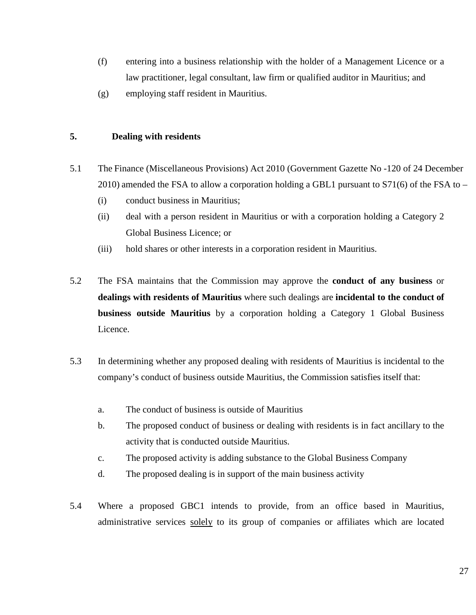- (f) entering into a business relationship with the holder of a Management Licence or a law practitioner, legal consultant, law firm or qualified auditor in Mauritius; and
- (g) employing staff resident in Mauritius.

#### **5. Dealing with residents**

- 5.1 The Finance (Miscellaneous Provisions) Act 2010 (Government Gazette No -120 of 24 December 2010) amended the FSA to allow a corporation holding a GBL1 pursuant to  $S71(6)$  of the FSA to –
	- (i) conduct business in Mauritius;
	- (ii) deal with a person resident in Mauritius or with a corporation holding a Category 2 Global Business Licence; or
	- (iii) hold shares or other interests in a corporation resident in Mauritius.
- 5.2 The FSA maintains that the Commission may approve the **conduct of any business** or **dealings with residents of Mauritius** where such dealings are **incidental to the conduct of business outside Mauritius** by a corporation holding a Category 1 Global Business Licence.
- 5.3 In determining whether any proposed dealing with residents of Mauritius is incidental to the company's conduct of business outside Mauritius, the Commission satisfies itself that:
	- a. The conduct of business is outside of Mauritius
	- b. The proposed conduct of business or dealing with residents is in fact ancillary to the activity that is conducted outside Mauritius.
	- c. The proposed activity is adding substance to the Global Business Company
	- d. The proposed dealing is in support of the main business activity
- 5.4 Where a proposed GBC1 intends to provide, from an office based in Mauritius, administrative services solely to its group of companies or affiliates which are located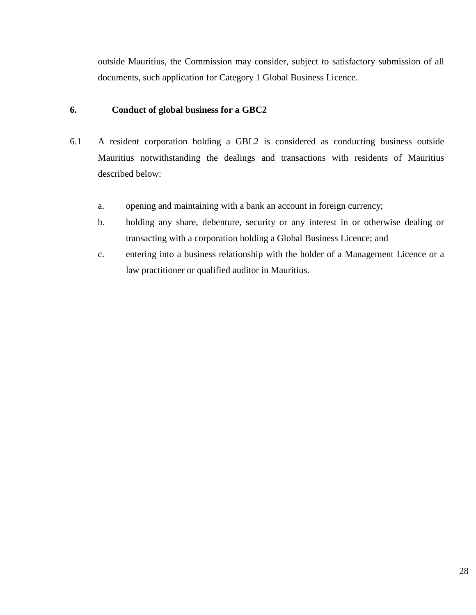outside Mauritius, the Commission may consider, subject to satisfactory submission of all documents, such application for Category 1 Global Business Licence.

#### **6. Conduct of global business for a GBC2**

- 6.1 A resident corporation holding a GBL2 is considered as conducting business outside Mauritius notwithstanding the dealings and transactions with residents of Mauritius described below:
	- a. opening and maintaining with a bank an account in foreign currency;
	- b. holding any share, debenture, security or any interest in or otherwise dealing or transacting with a corporation holding a Global Business Licence; and
	- c. entering into a business relationship with the holder of a Management Licence or a law practitioner or qualified auditor in Mauritius.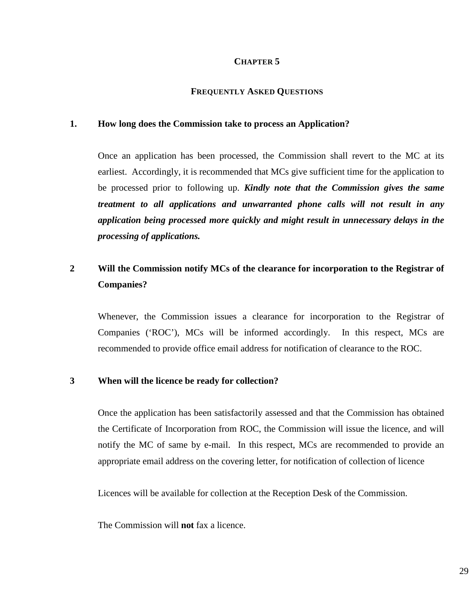#### **CHAPTER 5**

#### **FREQUENTLY ASKED QUESTIONS**

#### **1. How long does the Commission take to process an Application?**

Once an application has been processed, the Commission shall revert to the MC at its earliest. Accordingly, it is recommended that MCs give sufficient time for the application to be processed prior to following up. *Kindly note that the Commission gives the same treatment to all applications and unwarranted phone calls will not result in any application being processed more quickly and might result in unnecessary delays in the processing of applications.*

## **2 Will the Commission notify MCs of the clearance for incorporation to the Registrar of Companies?**

Whenever, the Commission issues a clearance for incorporation to the Registrar of Companies ('ROC'), MCs will be informed accordingly. In this respect, MCs are recommended to provide office email address for notification of clearance to the ROC.

#### **3 When will the licence be ready for collection?**

Once the application has been satisfactorily assessed and that the Commission has obtained the Certificate of Incorporation from ROC, the Commission will issue the licence, and will notify the MC of same by e-mail. In this respect, MCs are recommended to provide an appropriate email address on the covering letter, for notification of collection of licence

Licences will be available for collection at the Reception Desk of the Commission.

The Commission will **not** fax a licence.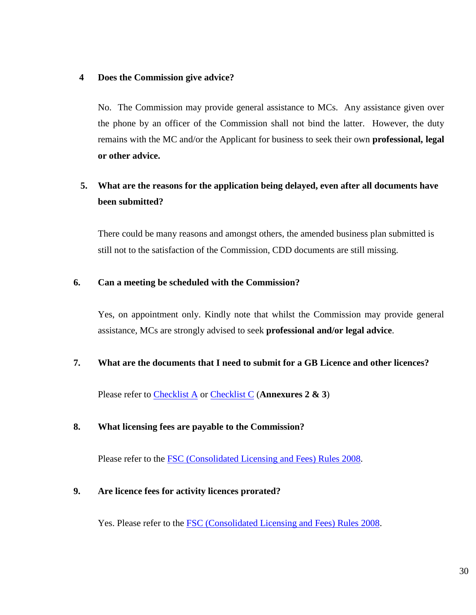#### **4 Does the Commission give advice?**

No. The Commission may provide general assistance to MCs. Any assistance given over the phone by an officer of the Commission shall not bind the latter. However, the duty remains with the MC and/or the Applicant for business to seek their own **professional, legal or other advice.**

## **5. What are the reasons for the application being delayed, even after all documents have been submitted?**

There could be many reasons and amongst others, the amended business plan submitted is still not to the satisfaction of the Commission, CDD documents are still missing.

#### **6. Can a meeting be scheduled with the Commission?**

Yes, on appointment only. Kindly note that whilst the Commission may provide general assistance, MCs are strongly advised to seek **professional and/or legal advice**.

#### **7. What are the documents that I need to submit for a GB Licence and other licences?**

Please refer to [Checklist A](https://www.fscmauritius.org/media/4046/fs-41_form_a.pdf) or [Checklist C](https://www.fscmauritius.org/media/4048/fs-41_form_c.pdf) (**Annexures 2 & 3**)

#### **8. What licensing fees are payable to the Commission?**

Please refer to the **FSC** (Consolidated Licensing and Fees) Rules 2008.

#### **9. Are licence fees for activity licences prorated?**

Yes. Please refer to the **FSC** (Consolidated Licensing and Fees) Rules 2008.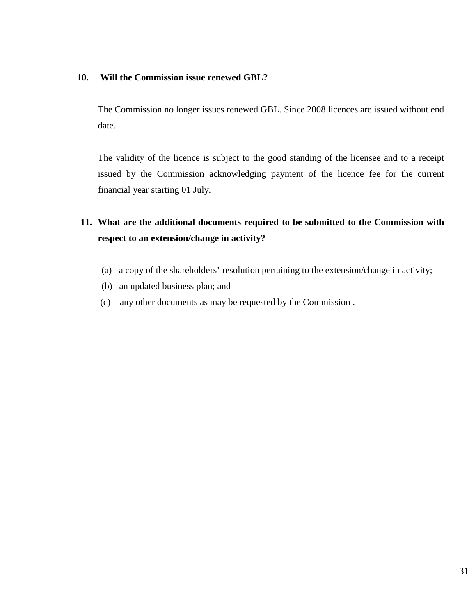#### **10. Will the Commission issue renewed GBL?**

The Commission no longer issues renewed GBL. Since 2008 licences are issued without end date.

The validity of the licence is subject to the good standing of the licensee and to a receipt issued by the Commission acknowledging payment of the licence fee for the current financial year starting 01 July.

## **11. What are the additional documents required to be submitted to the Commission with respect to an extension/change in activity?**

- (a) a copy of the shareholders' resolution pertaining to the extension/change in activity;
- (b) an updated business plan; and
- (c) any other documents as may be requested by the Commission .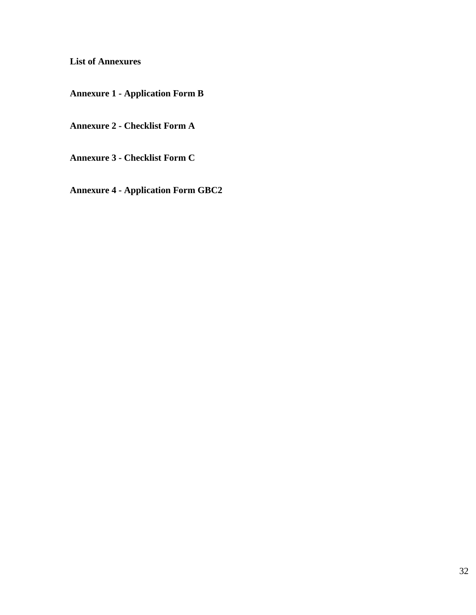**List of Annexures**

**Annexure 1 - Application Form B**

**Annexure 2 - Checklist Form A**

**Annexure 3 - Checklist Form C**

**Annexure 4 - Application Form GBC2**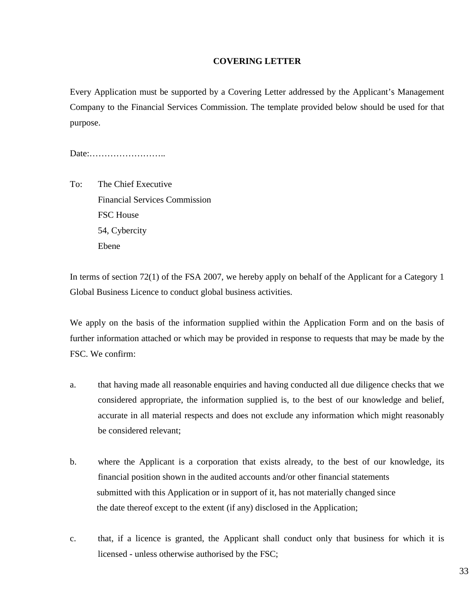#### **COVERING LETTER**

Every Application must be supported by a Covering Letter addressed by the Applicant's Management Company to the Financial Services Commission. The template provided below should be used for that purpose.

Date:……………………..

To: The Chief Executive Financial Services Commission FSC House 54, Cybercity Ebene

In terms of section 72(1) of the FSA 2007, we hereby apply on behalf of the Applicant for a Category 1 Global Business Licence to conduct global business activities.

We apply on the basis of the information supplied within the Application Form and on the basis of further information attached or which may be provided in response to requests that may be made by the FSC. We confirm:

- a. that having made all reasonable enquiries and having conducted all due diligence checks that we considered appropriate, the information supplied is, to the best of our knowledge and belief, accurate in all material respects and does not exclude any information which might reasonably be considered relevant;
- b. where the Applicant is a corporation that exists already, to the best of our knowledge, its financial position shown in the audited accounts and/or other financial statements submitted with this Application or in support of it, has not materially changed since the date thereof except to the extent (if any) disclosed in the Application;
- c. that, if a licence is granted, the Applicant shall conduct only that business for which it is licensed - unless otherwise authorised by the FSC;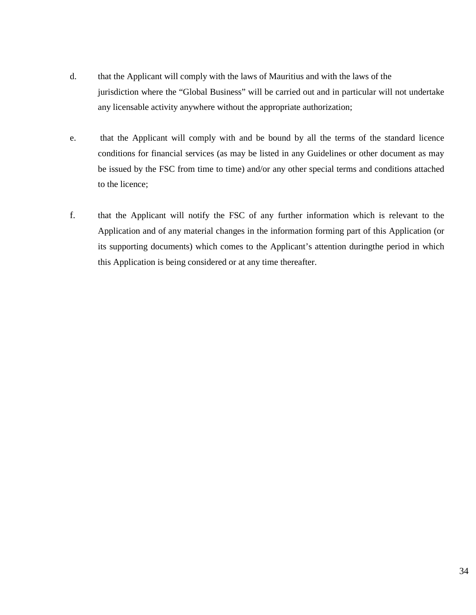- d. that the Applicant will comply with the laws of Mauritius and with the laws of the jurisdiction where the "Global Business" will be carried out and in particular will not undertake any licensable activity anywhere without the appropriate authorization;
- e. that the Applicant will comply with and be bound by all the terms of the standard licence conditions for financial services (as may be listed in any Guidelines or other document as may be issued by the FSC from time to time) and/or any other special terms and conditions attached to the licence;
- f. that the Applicant will notify the FSC of any further information which is relevant to the Application and of any material changes in the information forming part of this Application (or its supporting documents) which comes to the Applicant's attention duringthe period in which this Application is being considered or at any time thereafter.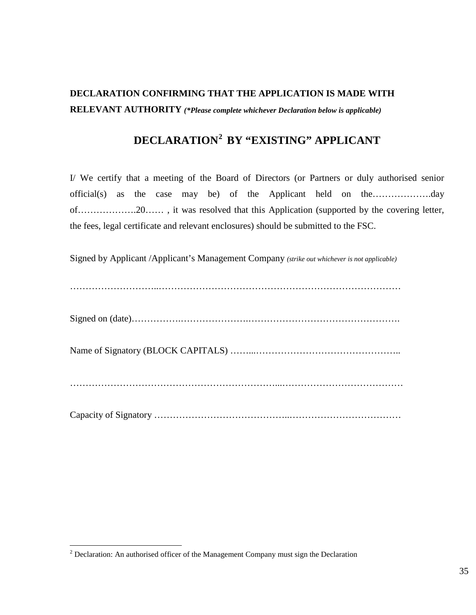## **DECLARATION CONFIRMING THAT THE APPLICATION IS MADE WITH RELEVANT AUTHORITY** *(\*Please complete whichever Declaration below is applicable)*

## **DECLARATION[2](#page-34-0) BY "EXISTING" APPLICANT**

I/ We certify that a meeting of the Board of Directors (or Partners or duly authorised senior official(s) as the case may be) of the Applicant held on the……………….day of……………….20…… , it was resolved that this Application (supported by the covering letter, the fees, legal certificate and relevant enclosures) should be submitted to the FSC.

Signed by Applicant /Applicant's Management Company *(strike out whichever is not applicable)*

………………………..……………………………………………………………………

Signed on (date)…………….………………….………………………………………….

Name of Signatory (BLOCK CAPITALS) ……...………………………………………..

…………………………………………………………...…………………………………

Capacity of Signatory ……………………………………..………………………………

<span id="page-34-0"></span> $2$  Declaration: An authorised officer of the Management Company must sign the Declaration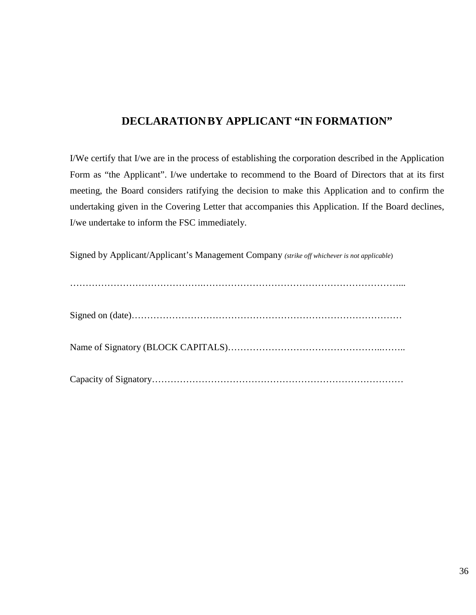## **DECLARATIONBY APPLICANT "IN FORMATION"**

I/We certify that I/we are in the process of establishing the corporation described in the Application Form as "the Applicant". I/we undertake to recommend to the Board of Directors that at its first meeting, the Board considers ratifying the decision to make this Application and to confirm the undertaking given in the Covering Letter that accompanies this Application. If the Board declines, I/we undertake to inform the FSC immediately.

Signed by Applicant/Applicant's Management Company *(strike off whichever is not applicable*)

…………………………………….………………………………………………………...

Signed on (date)……………………………………………………………………………

Name of Signatory (BLOCK CAPITALS)…………………………………………..……..

Capacity of Signatory………………………………………………………………………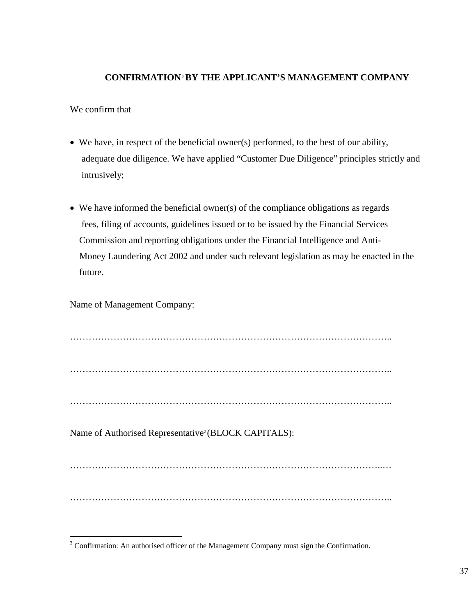#### **CONFIRMATION[3](#page-36-0) BY THE APPLICANT'S MANAGEMENT COMPANY**

We confirm that

- We have, in respect of the beneficial owner(s) performed, to the best of our ability, adequate due diligence. We have applied "Customer Due Diligence" principles strictly and intrusively;
- We have informed the beneficial owner(s) of the compliance obligations as regards fees, filing of accounts, guidelines issued or to be issued by the Financial Services Commission and reporting obligations under the Financial Intelligence and Anti- Money Laundering Act 2002 and under such relevant legislation as may be enacted in the future.

Name of Management Company:

………………………………………………………………………………………….. ………………………………………………………………………………………….. …………………………………………………………………………………………..

Name of Authorised Representative<sup>2</sup> (BLOCK CAPITALS):

………………………………………………………………………………………..…

…………………………………………………………………………………………..

<span id="page-36-0"></span><sup>&</sup>lt;sup>3</sup> Confirmation: An authorised officer of the Management Company must sign the Confirmation.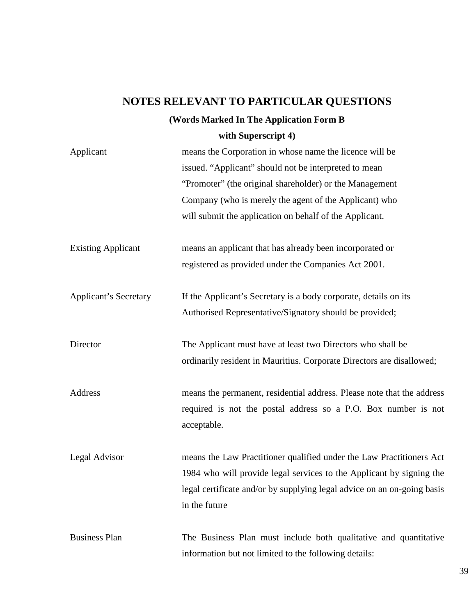## **NOTES RELEVANT TO PARTICULAR QUESTIONS**

### **(Words Marked In The Application Form B**

### **with Superscript 4)**

| Applicant                    | means the Corporation in whose name the licence will be<br>issued. "Applicant" should not be interpreted to mean<br>"Promoter" (the original shareholder) or the Management<br>Company (who is merely the agent of the Applicant) who<br>will submit the application on behalf of the Applicant. |
|------------------------------|--------------------------------------------------------------------------------------------------------------------------------------------------------------------------------------------------------------------------------------------------------------------------------------------------|
| <b>Existing Applicant</b>    | means an applicant that has already been incorporated or<br>registered as provided under the Companies Act 2001.                                                                                                                                                                                 |
| <b>Applicant's Secretary</b> | If the Applicant's Secretary is a body corporate, details on its<br>Authorised Representative/Signatory should be provided;                                                                                                                                                                      |
| Director                     | The Applicant must have at least two Directors who shall be<br>ordinarily resident in Mauritius. Corporate Directors are disallowed;                                                                                                                                                             |
| Address                      | means the permanent, residential address. Please note that the address<br>required is not the postal address so a P.O. Box number is not<br>acceptable.                                                                                                                                          |
| Legal Advisor                | means the Law Practitioner qualified under the Law Practitioners Act<br>1984 who will provide legal services to the Applicant by signing the<br>legal certificate and/or by supplying legal advice on an on-going basis<br>in the future                                                         |
| <b>Business Plan</b>         | The Business Plan must include both qualitative and quantitative<br>information but not limited to the following details:                                                                                                                                                                        |